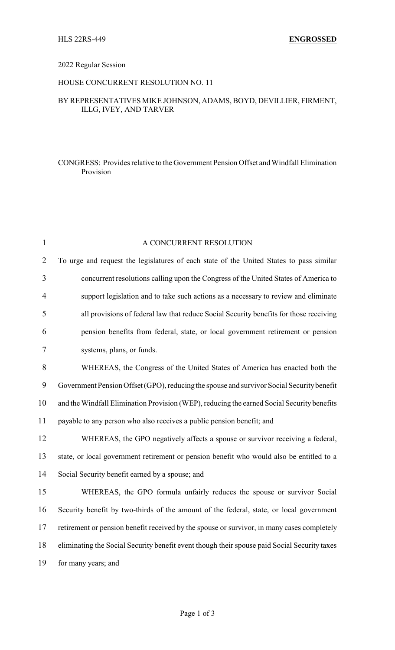### 2022 Regular Session

## HOUSE CONCURRENT RESOLUTION NO. 11

# BY REPRESENTATIVES MIKE JOHNSON, ADAMS, BOYD, DEVILLIER, FIRMENT, ILLG, IVEY, AND TARVER

# CONGRESS: Provides relative to the Government Pension Offset and Windfall Elimination Provision

| $\mathbf{1}$   | A CONCURRENT RESOLUTION                                                                      |
|----------------|----------------------------------------------------------------------------------------------|
| $\overline{2}$ | To urge and request the legislatures of each state of the United States to pass similar      |
| 3              | concurrent resolutions calling upon the Congress of the United States of America to          |
| 4              | support legislation and to take such actions as a necessary to review and eliminate          |
| 5              | all provisions of federal law that reduce Social Security benefits for those receiving       |
| 6              | pension benefits from federal, state, or local government retirement or pension              |
| 7              | systems, plans, or funds.                                                                    |
| 8              | WHEREAS, the Congress of the United States of America has enacted both the                   |
| 9              | Government Pension Offset (GPO), reducing the spouse and survivor Social Security benefit    |
| 10             | and the Windfall Elimination Provision (WEP), reducing the earned Social Security benefits   |
| 11             | payable to any person who also receives a public pension benefit; and                        |
| 12             | WHEREAS, the GPO negatively affects a spouse or survivor receiving a federal,                |
| 13             | state, or local government retirement or pension benefit who would also be entitled to a     |
| 14             | Social Security benefit earned by a spouse; and                                              |
| 15             | WHEREAS, the GPO formula unfairly reduces the spouse or survivor Social                      |
| 16             | Security benefit by two-thirds of the amount of the federal, state, or local government      |
| 17             | retirement or pension benefit received by the spouse or survivor, in many cases completely   |
| 18             | eliminating the Social Security benefit event though their spouse paid Social Security taxes |
| 19             | for many years; and                                                                          |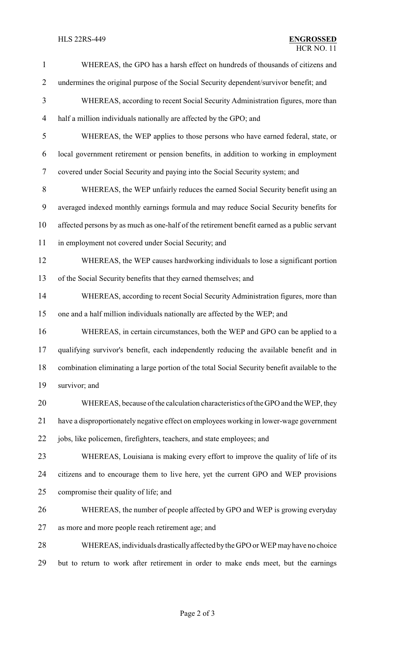| $\mathbf{1}$   | WHEREAS, the GPO has a harsh effect on hundreds of thousands of citizens and                  |
|----------------|-----------------------------------------------------------------------------------------------|
| $\overline{2}$ | undermines the original purpose of the Social Security dependent/survivor benefit; and        |
| 3              | WHEREAS, according to recent Social Security Administration figures, more than                |
| $\overline{4}$ | half a million individuals nationally are affected by the GPO; and                            |
| 5              | WHEREAS, the WEP applies to those persons who have earned federal, state, or                  |
| 6              | local government retirement or pension benefits, in addition to working in employment         |
| $\tau$         | covered under Social Security and paying into the Social Security system; and                 |
| 8              | WHEREAS, the WEP unfairly reduces the earned Social Security benefit using an                 |
| 9              | averaged indexed monthly earnings formula and may reduce Social Security benefits for         |
| 10             | affected persons by as much as one-half of the retirement benefit earned as a public servant  |
| 11             | in employment not covered under Social Security; and                                          |
| 12             | WHEREAS, the WEP causes hardworking individuals to lose a significant portion                 |
| 13             | of the Social Security benefits that they earned themselves; and                              |
| 14             | WHEREAS, according to recent Social Security Administration figures, more than                |
| 15             | one and a half million individuals nationally are affected by the WEP; and                    |
| 16             | WHEREAS, in certain circumstances, both the WEP and GPO can be applied to a                   |
| 17             | qualifying survivor's benefit, each independently reducing the available benefit and in       |
| 18             | combination eliminating a large portion of the total Social Security benefit available to the |
| 19             | survivor; and                                                                                 |
| 20             | WHEREAS, because of the calculation characteristics of the GPO and the WEP, they              |
| 21             | have a disproportionately negative effect on employees working in lower-wage government       |
| 22             | jobs, like policemen, firefighters, teachers, and state employees; and                        |
| 23             | WHEREAS, Louisiana is making every effort to improve the quality of life of its               |
| 24             | citizens and to encourage them to live here, yet the current GPO and WEP provisions           |
| 25             | compromise their quality of life; and                                                         |
| 26             | WHEREAS, the number of people affected by GPO and WEP is growing everyday                     |
| 27             | as more and more people reach retirement age; and                                             |
| 28             | WHEREAS, individuals drastically affected by the GPO or WEP may have no choice                |
| 29             | but to return to work after retirement in order to make ends meet, but the earnings           |